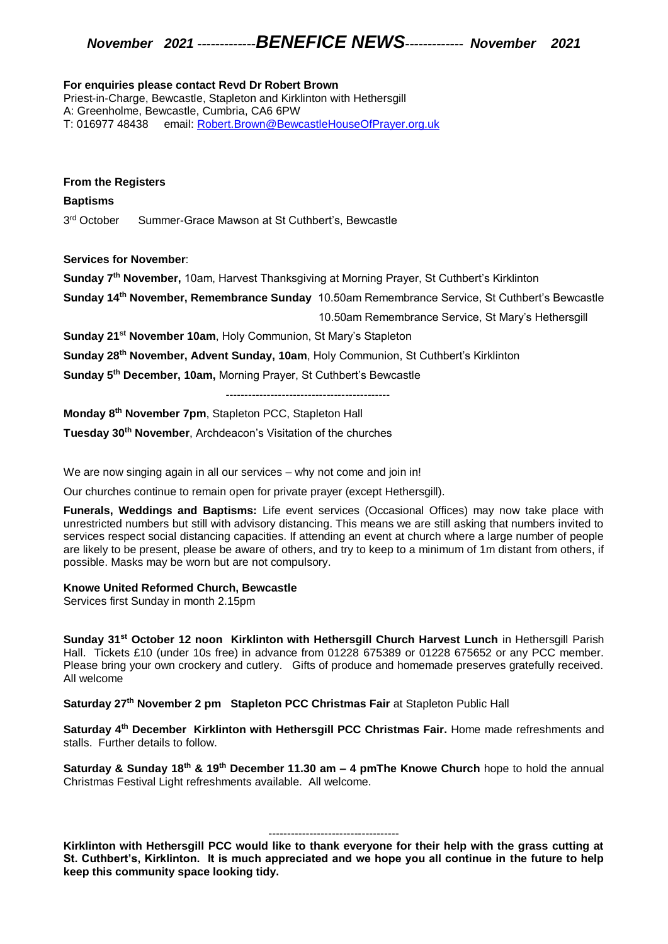## *November 2021 -------------BENEFICE NEWS------------- November 2021*

#### **For enquiries please contact Revd Dr Robert Brown**

Priest-in-Charge, Bewcastle, Stapleton and Kirklinton with Hethersgill A: Greenholme, Bewcastle, Cumbria, CA6 6PW T: 016977 48438 email: [Robert.Brown@BewcastleHouseOfPrayer.org.uk](mailto:Robert.Brown@BewcastleHouseOfPrayer.org.uk)

#### **From the Registers**

**Baptisms** 3<sup>rd</sup> October Summer-Grace Mawson at St Cuthbert's, Bewcastle

### **Services for November**:

**Sunday 7th November,** 10am, Harvest Thanksgiving at Morning Prayer, St Cuthbert's Kirklinton

**Sunday 14th November, Remembrance Sunday** 10.50am Remembrance Service, St Cuthbert's Bewcastle

10.50am Remembrance Service, St Mary's Hethersgill

**Sunday 21st November 10am**, Holy Communion, St Mary's Stapleton

**Sunday 28th November, Advent Sunday, 10am**, Holy Communion, St Cuthbert's Kirklinton

**Sunday 5th December, 10am,** Morning Prayer, St Cuthbert's Bewcastle

--------------------------------------------

**Monday 8 th November 7pm**, Stapleton PCC, Stapleton Hall

**Tuesday 30th November**, Archdeacon's Visitation of the churches

We are now singing again in all our services – why not come and join in!

Our churches continue to remain open for private prayer (except Hethersgill).

**Funerals, Weddings and Baptisms:** Life event services (Occasional Offices) may now take place with unrestricted numbers but still with advisory distancing. This means we are still asking that numbers invited to services respect social distancing capacities. If attending an event at church where a large number of people are likely to be present, please be aware of others, and try to keep to a minimum of 1m distant from others, if possible. Masks may be worn but are not compulsory.

### **Knowe United Reformed Church, Bewcastle**

Services first Sunday in month 2.15pm

**Sunday 31st October 12 noon Kirklinton with Hethersgill Church Harvest Lunch** in Hethersgill Parish Hall. Tickets £10 (under 10s free) in advance from 01228 675389 or 01228 675652 or any PCC member. Please bring your own crockery and cutlery. Gifts of produce and homemade preserves gratefully received. All welcome

**Saturday 27th November 2 pm Stapleton PCC Christmas Fair** at Stapleton Public Hall

**Saturday 4th December Kirklinton with Hethersgill PCC Christmas Fair.** Home made refreshments and stalls. Further details to follow.

**Saturday & Sunday 18th & 19th December 11.30 am – 4 pmThe Knowe Church** hope to hold the annual Christmas Festival Light refreshments available. All welcome.

### -----------------------------------

**Kirklinton with Hethersgill PCC would like to thank everyone for their help with the grass cutting at St. Cuthbert's, Kirklinton. It is much appreciated and we hope you all continue in the future to help keep this community space looking tidy.**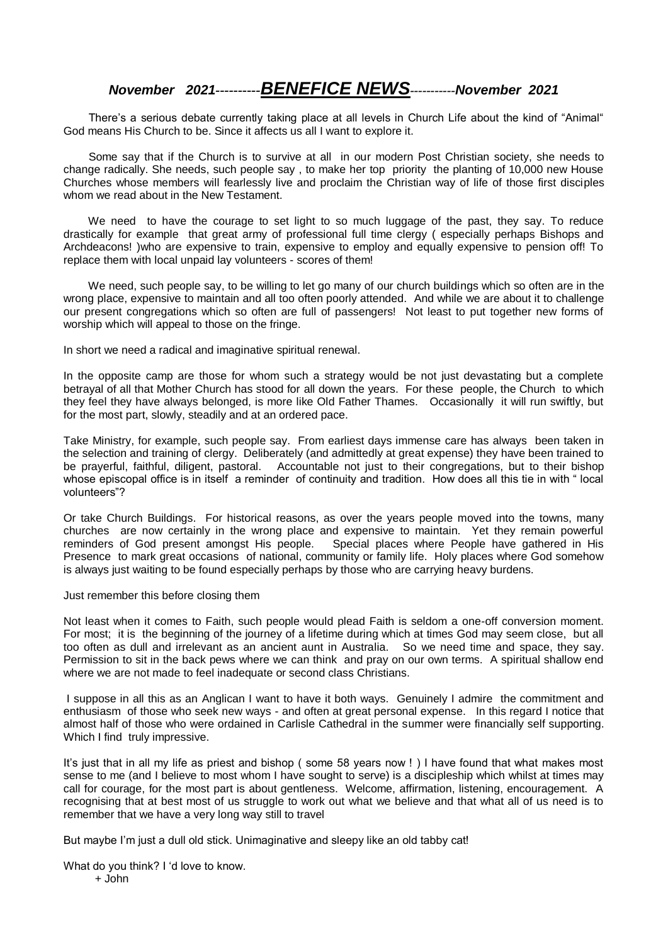# *November 2021----------BENEFICE NEWS-----------November 2021*

 There's a serious debate currently taking place at all levels in Church Life about the kind of "Animal" God means His Church to be. Since it affects us all I want to explore it.

 Some say that if the Church is to survive at all in our modern Post Christian society, she needs to change radically. She needs, such people say , to make her top priority the planting of 10,000 new House Churches whose members will fearlessly live and proclaim the Christian way of life of those first disciples whom we read about in the New Testament.

 We need to have the courage to set light to so much luggage of the past, they say. To reduce drastically for example that great army of professional full time clergy ( especially perhaps Bishops and Archdeacons! )who are expensive to train, expensive to employ and equally expensive to pension off! To replace them with local unpaid lay volunteers - scores of them!

 We need, such people say, to be willing to let go many of our church buildings which so often are in the wrong place, expensive to maintain and all too often poorly attended. And while we are about it to challenge our present congregations which so often are full of passengers! Not least to put together new forms of worship which will appeal to those on the fringe.

In short we need a radical and imaginative spiritual renewal.

In the opposite camp are those for whom such a strategy would be not just devastating but a complete betrayal of all that Mother Church has stood for all down the years. For these people, the Church to which they feel they have always belonged, is more like Old Father Thames. Occasionally it will run swiftly, but for the most part, slowly, steadily and at an ordered pace.

Take Ministry, for example, such people say. From earliest days immense care has always been taken in the selection and training of clergy. Deliberately (and admittedly at great expense) they have been trained to be prayerful, faithful, diligent, pastoral. Accountable not just to their congregations, but to their bishop whose episcopal office is in itself a reminder of continuity and tradition. How does all this tie in with " local volunteers"?

Or take Church Buildings. For historical reasons, as over the years people moved into the towns, many churches are now certainly in the wrong place and expensive to maintain. Yet they remain powerful reminders of God present amongst His people. Special places where People have gathered in His Presence to mark great occasions of national, community or family life. Holy places where God somehow is always just waiting to be found especially perhaps by those who are carrying heavy burdens.

Just remember this before closing them

Not least when it comes to Faith, such people would plead Faith is seldom a one-off conversion moment. For most; it is the beginning of the journey of a lifetime during which at times God may seem close, but all too often as dull and irrelevant as an ancient aunt in Australia. So we need time and space, they say. Permission to sit in the back pews where we can think and pray on our own terms. A spiritual shallow end where we are not made to feel inadequate or second class Christians.

I suppose in all this as an Anglican I want to have it both ways. Genuinely I admire the commitment and enthusiasm of those who seek new ways - and often at great personal expense. In this regard I notice that almost half of those who were ordained in Carlisle Cathedral in the summer were financially self supporting. Which I find truly impressive.

It's just that in all my life as priest and bishop ( some 58 years now ! ) I have found that what makes most sense to me (and I believe to most whom I have sought to serve) is a discipleship which whilst at times may call for courage, for the most part is about gentleness. Welcome, affirmation, listening, encouragement. A recognising that at best most of us struggle to work out what we believe and that what all of us need is to remember that we have a very long way still to travel

But maybe I'm just a dull old stick. Unimaginative and sleepy like an old tabby cat!

What do you think? I 'd love to know. + John